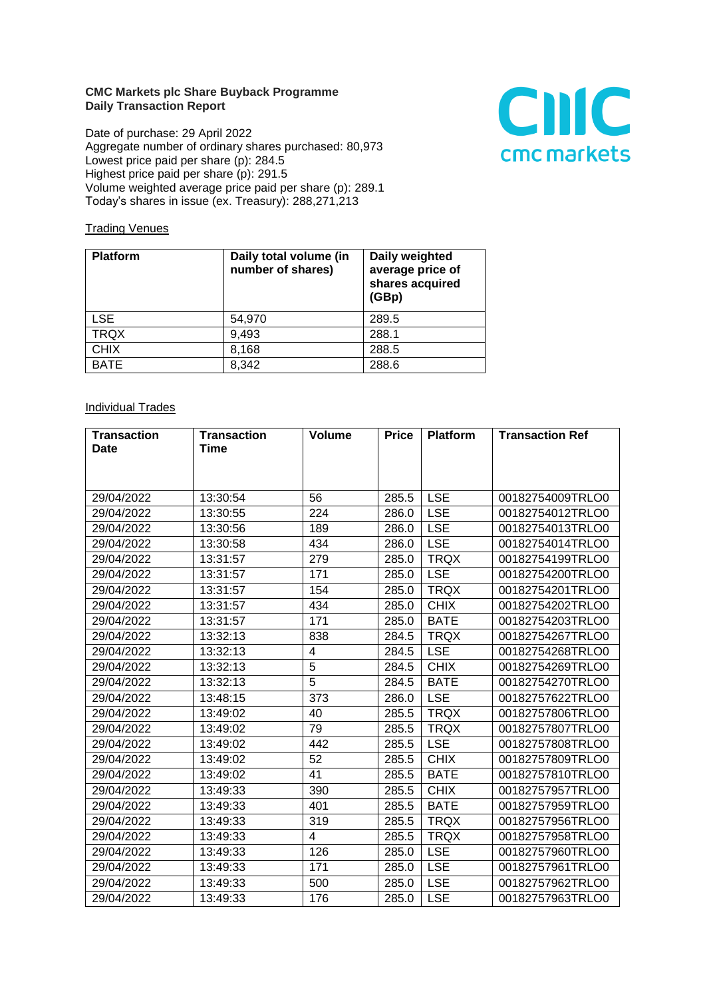## **CMC Markets plc Share Buyback Programme Daily Transaction Report**

Date of purchase: 29 April 2022 Aggregate number of ordinary shares purchased: 80,973 Lowest price paid per share (p): 284.5 Highest price paid per share (p): 291.5 Volume weighted average price paid per share (p): 289.1 Today's shares in issue (ex. Treasury): 288,271,213



## **Trading Venues**

| <b>Platform</b> | Daily total volume (in<br>number of shares) | Daily weighted<br>average price of<br>shares acquired<br>(GBp) |
|-----------------|---------------------------------------------|----------------------------------------------------------------|
| <b>LSE</b>      | 54,970                                      | 289.5                                                          |
| <b>TRQX</b>     | 9,493                                       | 288.1                                                          |
| <b>CHIX</b>     | 8,168                                       | 288.5                                                          |
| <b>BATE</b>     | 8,342                                       | 288.6                                                          |

## **Individual Trades**

| <b>Transaction</b> | <b>Transaction</b> | <b>Volume</b> | <b>Price</b> | <b>Platform</b> | <b>Transaction Ref</b> |
|--------------------|--------------------|---------------|--------------|-----------------|------------------------|
| <b>Date</b>        | Time               |               |              |                 |                        |
|                    |                    |               |              |                 |                        |
|                    |                    |               |              |                 |                        |
| 29/04/2022         | 13:30:54           | 56            | 285.5        | <b>LSE</b>      | 00182754009TRLO0       |
| 29/04/2022         | 13:30:55           | 224           | 286.0        | <b>LSE</b>      | 00182754012TRLO0       |
| 29/04/2022         | 13:30:56           | 189           | 286.0        | <b>LSE</b>      | 00182754013TRLO0       |
| 29/04/2022         | 13:30:58           | 434           | 286.0        | <b>LSE</b>      | 00182754014TRLO0       |
| 29/04/2022         | 13:31:57           | 279           | 285.0        | <b>TRQX</b>     | 00182754199TRLO0       |
| 29/04/2022         | 13:31:57           | 171           | 285.0        | <b>LSE</b>      | 00182754200TRLO0       |
| 29/04/2022         | 13:31:57           | 154           | 285.0        | <b>TRQX</b>     | 00182754201TRLO0       |
| 29/04/2022         | 13:31:57           | 434           | 285.0        | <b>CHIX</b>     | 00182754202TRLO0       |
| 29/04/2022         | 13:31:57           | 171           | 285.0        | <b>BATE</b>     | 00182754203TRLO0       |
| 29/04/2022         | 13:32:13           | 838           | 284.5        | <b>TRQX</b>     | 00182754267TRLO0       |
| 29/04/2022         | 13:32:13           | 4             | 284.5        | <b>LSE</b>      | 00182754268TRLO0       |
| 29/04/2022         | 13:32:13           | 5             | 284.5        | <b>CHIX</b>     | 00182754269TRLO0       |
| 29/04/2022         | 13:32:13           | 5             | 284.5        | <b>BATE</b>     | 00182754270TRLO0       |
| 29/04/2022         | 13:48:15           | 373           | 286.0        | <b>LSE</b>      | 00182757622TRLO0       |
| 29/04/2022         | 13:49:02           | 40            | 285.5        | <b>TRQX</b>     | 00182757806TRLO0       |
| 29/04/2022         | 13:49:02           | 79            | 285.5        | <b>TRQX</b>     | 00182757807TRLO0       |
| 29/04/2022         | 13:49:02           | 442           | 285.5        | <b>LSE</b>      | 00182757808TRLO0       |
| 29/04/2022         | 13:49:02           | 52            | 285.5        | <b>CHIX</b>     | 00182757809TRLO0       |
| 29/04/2022         | 13:49:02           | 41            | 285.5        | <b>BATE</b>     | 00182757810TRLO0       |
| 29/04/2022         | 13:49:33           | 390           | 285.5        | <b>CHIX</b>     | 00182757957TRLO0       |
| 29/04/2022         | 13:49:33           | 401           | 285.5        | <b>BATE</b>     | 00182757959TRLO0       |
| 29/04/2022         | 13:49:33           | 319           | 285.5        | <b>TRQX</b>     | 00182757956TRLO0       |
| 29/04/2022         | 13:49:33           | 4             | 285.5        | <b>TRQX</b>     | 00182757958TRLO0       |
| 29/04/2022         | 13:49:33           | 126           | 285.0        | <b>LSE</b>      | 00182757960TRLO0       |
| 29/04/2022         | 13:49:33           | 171           | 285.0        | <b>LSE</b>      | 00182757961TRLO0       |
| 29/04/2022         | 13:49:33           | 500           | 285.0        | <b>LSE</b>      | 00182757962TRLO0       |
| 29/04/2022         | 13:49:33           | 176           | 285.0        | <b>LSE</b>      | 00182757963TRLO0       |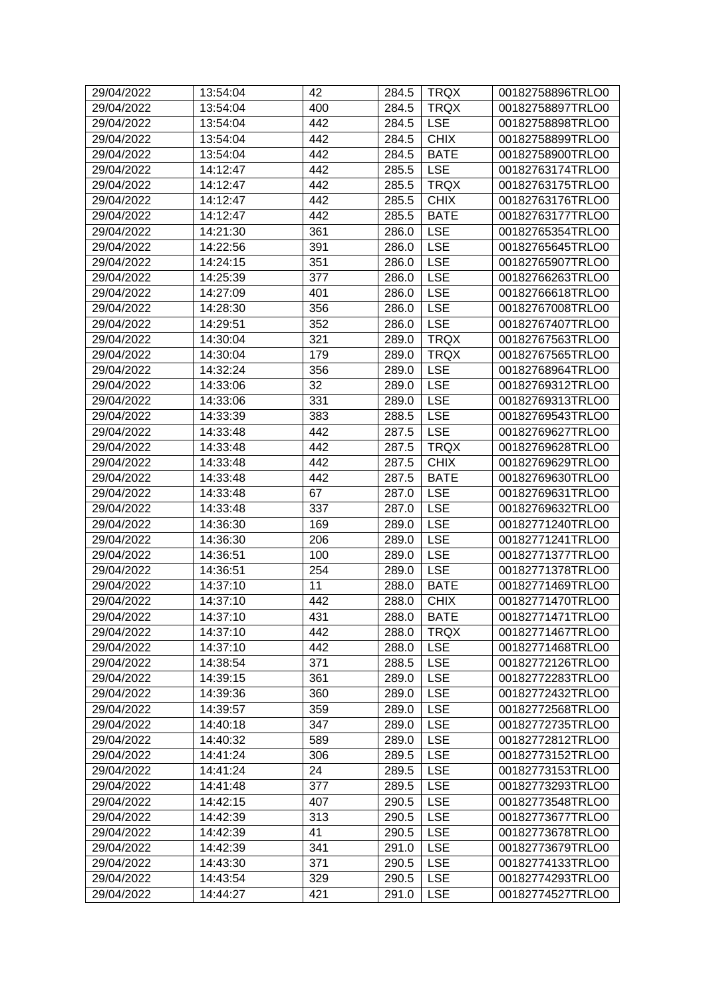| 29/04/2022 | 13:54:04 | 42  | 284.5 | <b>TRQX</b> | 00182758896TRLO0 |
|------------|----------|-----|-------|-------------|------------------|
| 29/04/2022 | 13:54:04 | 400 | 284.5 | <b>TRQX</b> | 00182758897TRLO0 |
| 29/04/2022 | 13:54:04 | 442 | 284.5 | <b>LSE</b>  | 00182758898TRLO0 |
| 29/04/2022 | 13:54:04 | 442 | 284.5 | <b>CHIX</b> | 00182758899TRLO0 |
| 29/04/2022 | 13:54:04 | 442 | 284.5 | <b>BATE</b> | 00182758900TRLO0 |
| 29/04/2022 | 14:12:47 | 442 | 285.5 | <b>LSE</b>  | 00182763174TRLO0 |
| 29/04/2022 | 14:12:47 | 442 | 285.5 | <b>TRQX</b> | 00182763175TRLO0 |
| 29/04/2022 | 14:12:47 | 442 | 285.5 | <b>CHIX</b> | 00182763176TRLO0 |
| 29/04/2022 | 14:12:47 | 442 | 285.5 | <b>BATE</b> | 00182763177TRLO0 |
| 29/04/2022 | 14:21:30 | 361 | 286.0 | <b>LSE</b>  | 00182765354TRLO0 |
| 29/04/2022 | 14:22:56 | 391 | 286.0 | <b>LSE</b>  | 00182765645TRLO0 |
| 29/04/2022 | 14:24:15 | 351 | 286.0 | <b>LSE</b>  | 00182765907TRLO0 |
| 29/04/2022 | 14:25:39 | 377 | 286.0 | <b>LSE</b>  | 00182766263TRLO0 |
| 29/04/2022 | 14:27:09 | 401 | 286.0 | <b>LSE</b>  | 00182766618TRLO0 |
| 29/04/2022 | 14:28:30 | 356 | 286.0 | <b>LSE</b>  | 00182767008TRLO0 |
| 29/04/2022 | 14:29:51 | 352 | 286.0 | <b>LSE</b>  | 00182767407TRLO0 |
| 29/04/2022 | 14:30:04 | 321 | 289.0 | <b>TRQX</b> | 00182767563TRLO0 |
| 29/04/2022 | 14:30:04 | 179 | 289.0 | <b>TRQX</b> | 00182767565TRLO0 |
| 29/04/2022 | 14:32:24 | 356 | 289.0 | <b>LSE</b>  | 00182768964TRLO0 |
| 29/04/2022 | 14:33:06 | 32  | 289.0 | <b>LSE</b>  | 00182769312TRLO0 |
| 29/04/2022 | 14:33:06 | 331 | 289.0 | <b>LSE</b>  | 00182769313TRLO0 |
| 29/04/2022 | 14:33:39 | 383 | 288.5 | <b>LSE</b>  | 00182769543TRLO0 |
| 29/04/2022 | 14:33:48 | 442 | 287.5 | <b>LSE</b>  | 00182769627TRLO0 |
| 29/04/2022 | 14:33:48 | 442 | 287.5 | <b>TRQX</b> | 00182769628TRLO0 |
| 29/04/2022 | 14:33:48 | 442 | 287.5 | <b>CHIX</b> | 00182769629TRLO0 |
| 29/04/2022 | 14:33:48 | 442 | 287.5 | <b>BATE</b> | 00182769630TRLO0 |
| 29/04/2022 | 14:33:48 | 67  | 287.0 | <b>LSE</b>  | 00182769631TRLO0 |
| 29/04/2022 | 14:33:48 | 337 | 287.0 | <b>LSE</b>  | 00182769632TRLO0 |
| 29/04/2022 | 14:36:30 | 169 | 289.0 | <b>LSE</b>  | 00182771240TRLO0 |
| 29/04/2022 | 14:36:30 | 206 | 289.0 | <b>LSE</b>  | 00182771241TRLO0 |
| 29/04/2022 | 14:36:51 | 100 | 289.0 | <b>LSE</b>  | 00182771377TRLO0 |
| 29/04/2022 | 14:36:51 | 254 | 289.0 | <b>LSE</b>  | 00182771378TRLO0 |
| 29/04/2022 | 14:37:10 | 11  | 288.0 | <b>BATE</b> | 00182771469TRLO0 |
| 29/04/2022 | 14:37:10 | 442 | 288.0 | <b>CHIX</b> | 00182771470TRLO0 |
| 29/04/2022 | 14:37:10 | 431 | 288.0 | <b>BATE</b> | 00182771471TRLO0 |
| 29/04/2022 | 14:37:10 | 442 | 288.0 | <b>TRQX</b> | 00182771467TRLO0 |
| 29/04/2022 | 14:37:10 | 442 | 288.0 | <b>LSE</b>  | 00182771468TRLO0 |
| 29/04/2022 | 14:38:54 | 371 | 288.5 | <b>LSE</b>  | 00182772126TRLO0 |
| 29/04/2022 | 14:39:15 | 361 | 289.0 | <b>LSE</b>  | 00182772283TRLO0 |
| 29/04/2022 | 14:39:36 | 360 | 289.0 | <b>LSE</b>  | 00182772432TRLO0 |
| 29/04/2022 | 14:39:57 | 359 | 289.0 | <b>LSE</b>  | 00182772568TRLO0 |
| 29/04/2022 | 14:40:18 | 347 | 289.0 | <b>LSE</b>  | 00182772735TRLO0 |
| 29/04/2022 | 14:40:32 | 589 | 289.0 | <b>LSE</b>  | 00182772812TRLO0 |
| 29/04/2022 | 14:41:24 | 306 | 289.5 | <b>LSE</b>  | 00182773152TRLO0 |
| 29/04/2022 | 14:41:24 | 24  | 289.5 | <b>LSE</b>  | 00182773153TRLO0 |
| 29/04/2022 | 14:41:48 | 377 | 289.5 | <b>LSE</b>  | 00182773293TRLO0 |
| 29/04/2022 | 14:42:15 | 407 | 290.5 | <b>LSE</b>  | 00182773548TRLO0 |
| 29/04/2022 | 14:42:39 | 313 | 290.5 | <b>LSE</b>  | 00182773677TRLO0 |
| 29/04/2022 | 14:42:39 | 41  | 290.5 | <b>LSE</b>  | 00182773678TRLO0 |
| 29/04/2022 | 14:42:39 | 341 | 291.0 | <b>LSE</b>  | 00182773679TRLO0 |
| 29/04/2022 | 14:43:30 | 371 | 290.5 | <b>LSE</b>  | 00182774133TRLO0 |
| 29/04/2022 | 14:43:54 | 329 | 290.5 | <b>LSE</b>  | 00182774293TRLO0 |
| 29/04/2022 | 14:44:27 | 421 | 291.0 | <b>LSE</b>  | 00182774527TRLO0 |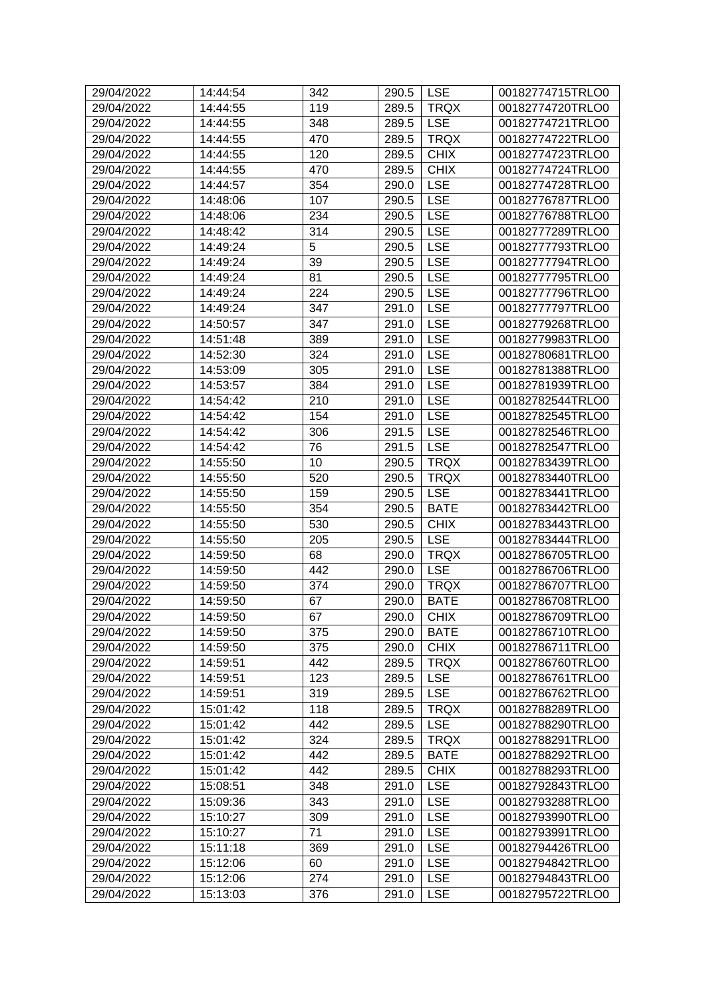| 29/04/2022 | 14:44:54 | 342 | 290.5 | <b>LSE</b>  | 00182774715TRLO0 |
|------------|----------|-----|-------|-------------|------------------|
| 29/04/2022 | 14:44:55 | 119 | 289.5 | <b>TRQX</b> | 00182774720TRLO0 |
| 29/04/2022 | 14:44:55 | 348 | 289.5 | <b>LSE</b>  | 00182774721TRLO0 |
| 29/04/2022 | 14:44:55 | 470 | 289.5 | <b>TRQX</b> | 00182774722TRLO0 |
| 29/04/2022 | 14:44:55 | 120 | 289.5 | <b>CHIX</b> | 00182774723TRLO0 |
| 29/04/2022 | 14:44:55 | 470 | 289.5 | <b>CHIX</b> | 00182774724TRLO0 |
| 29/04/2022 | 14:44:57 | 354 | 290.0 | <b>LSE</b>  | 00182774728TRLO0 |
| 29/04/2022 | 14:48:06 | 107 | 290.5 | <b>LSE</b>  | 00182776787TRLO0 |
| 29/04/2022 | 14:48:06 | 234 | 290.5 | <b>LSE</b>  | 00182776788TRLO0 |
| 29/04/2022 | 14:48:42 | 314 | 290.5 | <b>LSE</b>  | 00182777289TRLO0 |
| 29/04/2022 | 14:49:24 | 5   | 290.5 | <b>LSE</b>  | 00182777793TRLO0 |
| 29/04/2022 | 14:49:24 | 39  | 290.5 | <b>LSE</b>  | 00182777794TRLO0 |
| 29/04/2022 | 14:49:24 | 81  | 290.5 | <b>LSE</b>  | 00182777795TRLO0 |
| 29/04/2022 | 14:49:24 | 224 | 290.5 | <b>LSE</b>  | 00182777796TRLO0 |
| 29/04/2022 | 14:49:24 | 347 | 291.0 | <b>LSE</b>  | 00182777797TRLO0 |
| 29/04/2022 | 14:50:57 | 347 | 291.0 | <b>LSE</b>  | 00182779268TRLO0 |
| 29/04/2022 | 14:51:48 | 389 | 291.0 | <b>LSE</b>  | 00182779983TRLO0 |
| 29/04/2022 | 14:52:30 | 324 | 291.0 | <b>LSE</b>  | 00182780681TRLO0 |
| 29/04/2022 | 14:53:09 | 305 | 291.0 | <b>LSE</b>  | 00182781388TRLO0 |
| 29/04/2022 | 14:53:57 | 384 | 291.0 | <b>LSE</b>  | 00182781939TRLO0 |
| 29/04/2022 | 14:54:42 | 210 | 291.0 | <b>LSE</b>  | 00182782544TRLO0 |
| 29/04/2022 | 14:54:42 | 154 | 291.0 | <b>LSE</b>  | 00182782545TRLO0 |
| 29/04/2022 | 14:54:42 | 306 | 291.5 | <b>LSE</b>  | 00182782546TRLO0 |
| 29/04/2022 | 14:54:42 | 76  | 291.5 | <b>LSE</b>  | 00182782547TRLO0 |
| 29/04/2022 | 14:55:50 | 10  | 290.5 | <b>TRQX</b> | 00182783439TRLO0 |
| 29/04/2022 | 14:55:50 | 520 | 290.5 | <b>TRQX</b> | 00182783440TRLO0 |
| 29/04/2022 | 14:55:50 | 159 | 290.5 | <b>LSE</b>  | 00182783441TRLO0 |
| 29/04/2022 | 14:55:50 | 354 | 290.5 | <b>BATE</b> | 00182783442TRLO0 |
| 29/04/2022 | 14:55:50 | 530 | 290.5 | <b>CHIX</b> | 00182783443TRLO0 |
| 29/04/2022 | 14:55:50 | 205 | 290.5 | <b>LSE</b>  | 00182783444TRLO0 |
| 29/04/2022 | 14:59:50 | 68  | 290.0 | <b>TRQX</b> | 00182786705TRLO0 |
| 29/04/2022 | 14:59:50 | 442 | 290.0 | <b>LSE</b>  | 00182786706TRLO0 |
| 29/04/2022 | 14:59:50 | 374 | 290.0 | <b>TRQX</b> | 00182786707TRLO0 |
| 29/04/2022 | 14:59:50 | 67  | 290.0 | <b>BATE</b> | 00182786708TRLO0 |
| 29/04/2022 | 14:59:50 | 67  | 290.0 | <b>CHIX</b> | 00182786709TRLO0 |
| 29/04/2022 | 14:59:50 | 375 | 290.0 | <b>BATE</b> | 00182786710TRLO0 |
| 29/04/2022 | 14:59:50 | 375 | 290.0 | <b>CHIX</b> | 00182786711TRLO0 |
| 29/04/2022 | 14:59:51 | 442 | 289.5 | <b>TRQX</b> | 00182786760TRLO0 |
| 29/04/2022 | 14:59:51 | 123 | 289.5 | <b>LSE</b>  | 00182786761TRLO0 |
| 29/04/2022 | 14:59:51 | 319 | 289.5 | <b>LSE</b>  | 00182786762TRLO0 |
| 29/04/2022 | 15:01:42 | 118 | 289.5 | <b>TRQX</b> | 00182788289TRLO0 |
| 29/04/2022 | 15:01:42 | 442 | 289.5 | <b>LSE</b>  | 00182788290TRLO0 |
| 29/04/2022 | 15:01:42 | 324 | 289.5 | <b>TRQX</b> | 00182788291TRLO0 |
| 29/04/2022 | 15:01:42 | 442 | 289.5 | <b>BATE</b> | 00182788292TRLO0 |
| 29/04/2022 | 15:01:42 | 442 | 289.5 | <b>CHIX</b> | 00182788293TRLO0 |
| 29/04/2022 | 15:08:51 | 348 | 291.0 | <b>LSE</b>  | 00182792843TRLO0 |
| 29/04/2022 | 15:09:36 | 343 | 291.0 | <b>LSE</b>  | 00182793288TRLO0 |
| 29/04/2022 | 15:10:27 | 309 | 291.0 | <b>LSE</b>  | 00182793990TRLO0 |
| 29/04/2022 | 15:10:27 | 71  | 291.0 | <b>LSE</b>  | 00182793991TRLO0 |
| 29/04/2022 | 15:11:18 | 369 | 291.0 | <b>LSE</b>  | 00182794426TRLO0 |
| 29/04/2022 | 15:12:06 | 60  | 291.0 | <b>LSE</b>  | 00182794842TRLO0 |
| 29/04/2022 | 15:12:06 | 274 | 291.0 | <b>LSE</b>  | 00182794843TRLO0 |
| 29/04/2022 | 15:13:03 | 376 | 291.0 | <b>LSE</b>  | 00182795722TRLO0 |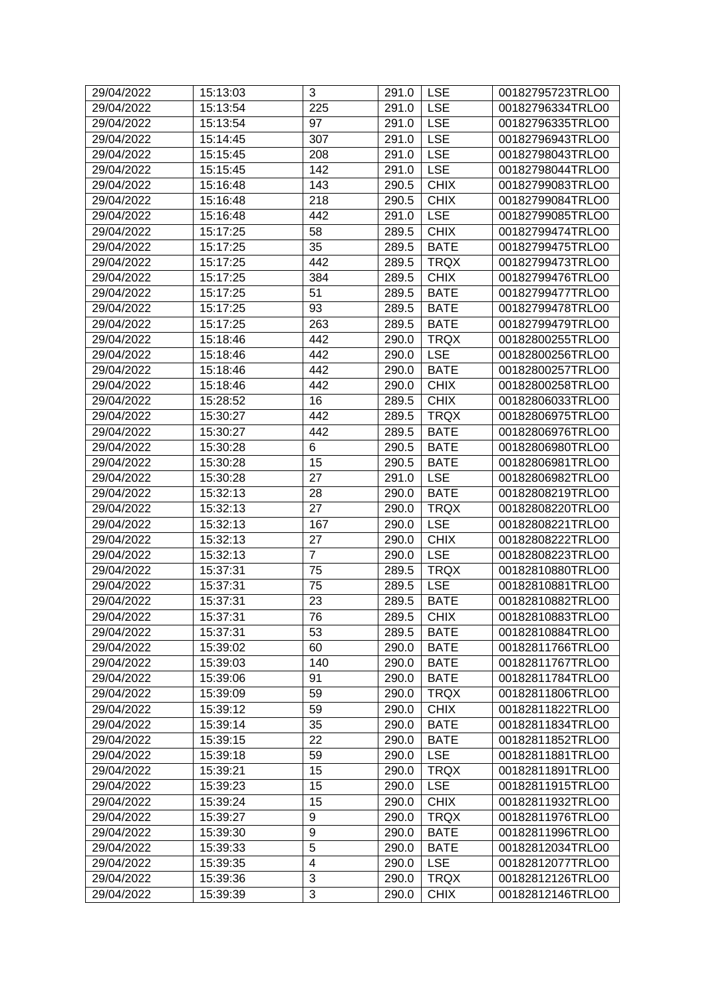| 225<br><b>LSE</b><br>00182796334TRLO0<br>29/04/2022<br>15:13:54<br>291.0<br><b>LSE</b><br>00182796335TRLO0<br>29/04/2022<br>15:13:54<br>97<br>291.0<br><b>LSE</b><br>29/04/2022<br>307<br>291.0<br>00182796943TRLO0<br>15:14:45<br><b>LSE</b><br>29/04/2022<br>15:15:45<br>208<br>291.0<br>00182798043TRLO0<br>29/04/2022<br>15:15:45<br>142<br><b>LSE</b><br>00182798044TRLO0<br>291.0<br><b>CHIX</b><br>29/04/2022<br>15:16:48<br>143<br>290.5<br>00182799083TRLO0<br>218<br><b>CHIX</b><br>29/04/2022<br>15:16:48<br>290.5<br>00182799084TRLO0<br>29/04/2022<br>15:16:48<br>442<br>291.0<br><b>LSE</b><br>00182799085TRLO0<br>29/04/2022<br>15:17:25<br>58<br>289.5<br><b>CHIX</b><br>00182799474TRLO0<br>35<br><b>BATE</b><br>29/04/2022<br>15:17:25<br>289.5<br>00182799475TRLO0<br>29/04/2022<br>15:17:25<br>442<br>289.5<br><b>TRQX</b><br>00182799473TRLO0<br>15:17:25<br><b>CHIX</b><br>29/04/2022<br>384<br>289.5<br>00182799476TRLO0<br>51<br><b>BATE</b><br>29/04/2022<br>15:17:25<br>289.5<br>00182799477TRLO0<br>29/04/2022<br>15:17:25<br>93<br>289.5<br><b>BATE</b><br>00182799478TRLO0<br>29/04/2022<br>15:17:25<br>263<br>289.5<br><b>BATE</b><br>00182799479TRLO0<br>442<br><b>TRQX</b><br>00182800255TRLO0<br>29/04/2022<br>15:18:46<br>290.0<br>29/04/2022<br>15:18:46<br>442<br><b>LSE</b><br>00182800256TRLO0<br>290.0<br>29/04/2022<br>15:18:46<br>442<br>290.0<br><b>BATE</b><br>00182800257TRLO0<br>29/04/2022<br>442<br><b>CHIX</b><br>00182800258TRLO0<br>15:18:46<br>290.0<br><b>CHIX</b><br>29/04/2022<br>16<br>00182806033TRLO0<br>15:28:52<br>289.5<br>29/04/2022<br>442<br>289.5<br><b>TRQX</b><br>15:30:27<br>00182806975TRLO0<br>29/04/2022<br>15:30:27<br>442<br>289.5<br><b>BATE</b><br>00182806976TRLO0<br>29/04/2022<br>15:30:28<br>6<br>290.5<br><b>BATE</b><br>00182806980TRLO0<br>15<br>29/04/2022<br>15:30:28<br>290.5<br><b>BATE</b><br>00182806981TRLO0<br>27<br><b>LSE</b><br>29/04/2022<br>15:30:28<br>291.0<br>00182806982TRLO0<br>29/04/2022<br>15:32:13<br><b>BATE</b><br>00182808219TRLO0<br>28<br>290.0<br>27<br>15:32:13<br>290.0<br><b>TRQX</b><br>29/04/2022<br>00182808220TRLO0<br><b>LSE</b><br>29/04/2022<br>15:32:13<br>167<br>290.0<br>00182808221TRLO0<br>27<br><b>CHIX</b><br>29/04/2022<br>15:32:13<br>00182808222TRLO0<br>290.0<br>$\overline{7}$<br><b>LSE</b><br>29/04/2022<br>15:32:13<br>290.0<br>00182808223TRLO0<br><b>TRQX</b><br>29/04/2022<br>15:37:31<br>75<br>289.5<br>00182810880TRLO0<br><b>LSE</b><br>29/04/2022<br>15:37:31<br>75<br>289.5<br>00182810881TRLO0<br>23<br>29/04/2022<br>15:37:31<br>289.5<br><b>BATE</b><br>00182810882TRLO0<br>76<br><b>CHIX</b><br>15:37:31<br>289.5<br>00182810883TRLO0<br>29/04/2022<br>53<br>29/04/2022<br>15:37:31<br>289.5<br><b>BATE</b><br>00182810884TRLO0<br>29/04/2022<br>15:39:02<br>60<br><b>BATE</b><br>290.0<br>00182811766TRLO0<br>29/04/2022<br>140<br>290.0<br><b>BATE</b><br>00182811767TRLO0<br>15:39:03<br>29/04/2022<br>91<br><b>BATE</b><br>00182811784TRLO0<br>15:39:06<br>290.0<br>59<br><b>TRQX</b><br>29/04/2022<br>15:39:09<br>290.0<br>00182811806TRLO0<br>59<br><b>CHIX</b><br>00182811822TRLO0<br>29/04/2022<br>15:39:12<br>290.0<br>29/04/2022<br>35<br>290.0<br><b>BATE</b><br>00182811834TRLO0<br>15:39:14<br>22<br>29/04/2022<br>290.0<br><b>BATE</b><br>00182811852TRLO0<br>15:39:15<br><b>LSE</b><br>29/04/2022<br>15:39:18<br>59<br>290.0<br>00182811881TRLO0<br>15<br><b>TRQX</b><br>29/04/2022<br>15:39:21<br>290.0<br>00182811891TRLO0<br><b>LSE</b><br>15<br>29/04/2022<br>15:39:23<br>290.0<br>00182811915TRLO0<br><b>CHIX</b><br>00182811932TRLO0<br>29/04/2022<br>15:39:24<br>15<br>290.0<br>9<br><b>TRQX</b><br>29/04/2022<br>290.0<br>00182811976TRLO0<br>15:39:27<br>9<br>29/04/2022<br><b>BATE</b><br>00182811996TRLO0<br>15:39:30<br>290.0<br>5<br>29/04/2022<br>15:39:33<br>290.0<br><b>BATE</b><br>00182812034TRLO0<br>$\overline{\mathbf{4}}$<br><b>LSE</b><br>29/04/2022<br>15:39:35<br>290.0<br>00182812077TRLO0<br>3<br><b>TRQX</b><br>29/04/2022<br>15:39:36<br>290.0<br>00182812126TRLO0<br>3<br><b>CHIX</b><br>00182812146TRLO0<br>29/04/2022<br>15:39:39 | 29/04/2022 | 15:13:03 | 3 | 291.0 | <b>LSE</b> | 00182795723TRLO0 |
|------------------------------------------------------------------------------------------------------------------------------------------------------------------------------------------------------------------------------------------------------------------------------------------------------------------------------------------------------------------------------------------------------------------------------------------------------------------------------------------------------------------------------------------------------------------------------------------------------------------------------------------------------------------------------------------------------------------------------------------------------------------------------------------------------------------------------------------------------------------------------------------------------------------------------------------------------------------------------------------------------------------------------------------------------------------------------------------------------------------------------------------------------------------------------------------------------------------------------------------------------------------------------------------------------------------------------------------------------------------------------------------------------------------------------------------------------------------------------------------------------------------------------------------------------------------------------------------------------------------------------------------------------------------------------------------------------------------------------------------------------------------------------------------------------------------------------------------------------------------------------------------------------------------------------------------------------------------------------------------------------------------------------------------------------------------------------------------------------------------------------------------------------------------------------------------------------------------------------------------------------------------------------------------------------------------------------------------------------------------------------------------------------------------------------------------------------------------------------------------------------------------------------------------------------------------------------------------------------------------------------------------------------------------------------------------------------------------------------------------------------------------------------------------------------------------------------------------------------------------------------------------------------------------------------------------------------------------------------------------------------------------------------------------------------------------------------------------------------------------------------------------------------------------------------------------------------------------------------------------------------------------------------------------------------------------------------------------------------------------------------------------------------------------------------------------------------------------------------------------------------------------------------------------------------------------------------------------------------------------------------------------------------------------------------------------------------------------------------------------------------------------------------------------------------------------------------------------------------------------------------------------------------------------------------------------------------------------------------------------------------------------------------------------------------------------------------------------------------------------------------------|------------|----------|---|-------|------------|------------------|
|                                                                                                                                                                                                                                                                                                                                                                                                                                                                                                                                                                                                                                                                                                                                                                                                                                                                                                                                                                                                                                                                                                                                                                                                                                                                                                                                                                                                                                                                                                                                                                                                                                                                                                                                                                                                                                                                                                                                                                                                                                                                                                                                                                                                                                                                                                                                                                                                                                                                                                                                                                                                                                                                                                                                                                                                                                                                                                                                                                                                                                                                                                                                                                                                                                                                                                                                                                                                                                                                                                                                                                                                                                                                                                                                                                                                                                                                                                                                                                                                                                                                                                                                    |            |          |   |       |            |                  |
|                                                                                                                                                                                                                                                                                                                                                                                                                                                                                                                                                                                                                                                                                                                                                                                                                                                                                                                                                                                                                                                                                                                                                                                                                                                                                                                                                                                                                                                                                                                                                                                                                                                                                                                                                                                                                                                                                                                                                                                                                                                                                                                                                                                                                                                                                                                                                                                                                                                                                                                                                                                                                                                                                                                                                                                                                                                                                                                                                                                                                                                                                                                                                                                                                                                                                                                                                                                                                                                                                                                                                                                                                                                                                                                                                                                                                                                                                                                                                                                                                                                                                                                                    |            |          |   |       |            |                  |
|                                                                                                                                                                                                                                                                                                                                                                                                                                                                                                                                                                                                                                                                                                                                                                                                                                                                                                                                                                                                                                                                                                                                                                                                                                                                                                                                                                                                                                                                                                                                                                                                                                                                                                                                                                                                                                                                                                                                                                                                                                                                                                                                                                                                                                                                                                                                                                                                                                                                                                                                                                                                                                                                                                                                                                                                                                                                                                                                                                                                                                                                                                                                                                                                                                                                                                                                                                                                                                                                                                                                                                                                                                                                                                                                                                                                                                                                                                                                                                                                                                                                                                                                    |            |          |   |       |            |                  |
|                                                                                                                                                                                                                                                                                                                                                                                                                                                                                                                                                                                                                                                                                                                                                                                                                                                                                                                                                                                                                                                                                                                                                                                                                                                                                                                                                                                                                                                                                                                                                                                                                                                                                                                                                                                                                                                                                                                                                                                                                                                                                                                                                                                                                                                                                                                                                                                                                                                                                                                                                                                                                                                                                                                                                                                                                                                                                                                                                                                                                                                                                                                                                                                                                                                                                                                                                                                                                                                                                                                                                                                                                                                                                                                                                                                                                                                                                                                                                                                                                                                                                                                                    |            |          |   |       |            |                  |
|                                                                                                                                                                                                                                                                                                                                                                                                                                                                                                                                                                                                                                                                                                                                                                                                                                                                                                                                                                                                                                                                                                                                                                                                                                                                                                                                                                                                                                                                                                                                                                                                                                                                                                                                                                                                                                                                                                                                                                                                                                                                                                                                                                                                                                                                                                                                                                                                                                                                                                                                                                                                                                                                                                                                                                                                                                                                                                                                                                                                                                                                                                                                                                                                                                                                                                                                                                                                                                                                                                                                                                                                                                                                                                                                                                                                                                                                                                                                                                                                                                                                                                                                    |            |          |   |       |            |                  |
|                                                                                                                                                                                                                                                                                                                                                                                                                                                                                                                                                                                                                                                                                                                                                                                                                                                                                                                                                                                                                                                                                                                                                                                                                                                                                                                                                                                                                                                                                                                                                                                                                                                                                                                                                                                                                                                                                                                                                                                                                                                                                                                                                                                                                                                                                                                                                                                                                                                                                                                                                                                                                                                                                                                                                                                                                                                                                                                                                                                                                                                                                                                                                                                                                                                                                                                                                                                                                                                                                                                                                                                                                                                                                                                                                                                                                                                                                                                                                                                                                                                                                                                                    |            |          |   |       |            |                  |
|                                                                                                                                                                                                                                                                                                                                                                                                                                                                                                                                                                                                                                                                                                                                                                                                                                                                                                                                                                                                                                                                                                                                                                                                                                                                                                                                                                                                                                                                                                                                                                                                                                                                                                                                                                                                                                                                                                                                                                                                                                                                                                                                                                                                                                                                                                                                                                                                                                                                                                                                                                                                                                                                                                                                                                                                                                                                                                                                                                                                                                                                                                                                                                                                                                                                                                                                                                                                                                                                                                                                                                                                                                                                                                                                                                                                                                                                                                                                                                                                                                                                                                                                    |            |          |   |       |            |                  |
|                                                                                                                                                                                                                                                                                                                                                                                                                                                                                                                                                                                                                                                                                                                                                                                                                                                                                                                                                                                                                                                                                                                                                                                                                                                                                                                                                                                                                                                                                                                                                                                                                                                                                                                                                                                                                                                                                                                                                                                                                                                                                                                                                                                                                                                                                                                                                                                                                                                                                                                                                                                                                                                                                                                                                                                                                                                                                                                                                                                                                                                                                                                                                                                                                                                                                                                                                                                                                                                                                                                                                                                                                                                                                                                                                                                                                                                                                                                                                                                                                                                                                                                                    |            |          |   |       |            |                  |
|                                                                                                                                                                                                                                                                                                                                                                                                                                                                                                                                                                                                                                                                                                                                                                                                                                                                                                                                                                                                                                                                                                                                                                                                                                                                                                                                                                                                                                                                                                                                                                                                                                                                                                                                                                                                                                                                                                                                                                                                                                                                                                                                                                                                                                                                                                                                                                                                                                                                                                                                                                                                                                                                                                                                                                                                                                                                                                                                                                                                                                                                                                                                                                                                                                                                                                                                                                                                                                                                                                                                                                                                                                                                                                                                                                                                                                                                                                                                                                                                                                                                                                                                    |            |          |   |       |            |                  |
|                                                                                                                                                                                                                                                                                                                                                                                                                                                                                                                                                                                                                                                                                                                                                                                                                                                                                                                                                                                                                                                                                                                                                                                                                                                                                                                                                                                                                                                                                                                                                                                                                                                                                                                                                                                                                                                                                                                                                                                                                                                                                                                                                                                                                                                                                                                                                                                                                                                                                                                                                                                                                                                                                                                                                                                                                                                                                                                                                                                                                                                                                                                                                                                                                                                                                                                                                                                                                                                                                                                                                                                                                                                                                                                                                                                                                                                                                                                                                                                                                                                                                                                                    |            |          |   |       |            |                  |
|                                                                                                                                                                                                                                                                                                                                                                                                                                                                                                                                                                                                                                                                                                                                                                                                                                                                                                                                                                                                                                                                                                                                                                                                                                                                                                                                                                                                                                                                                                                                                                                                                                                                                                                                                                                                                                                                                                                                                                                                                                                                                                                                                                                                                                                                                                                                                                                                                                                                                                                                                                                                                                                                                                                                                                                                                                                                                                                                                                                                                                                                                                                                                                                                                                                                                                                                                                                                                                                                                                                                                                                                                                                                                                                                                                                                                                                                                                                                                                                                                                                                                                                                    |            |          |   |       |            |                  |
|                                                                                                                                                                                                                                                                                                                                                                                                                                                                                                                                                                                                                                                                                                                                                                                                                                                                                                                                                                                                                                                                                                                                                                                                                                                                                                                                                                                                                                                                                                                                                                                                                                                                                                                                                                                                                                                                                                                                                                                                                                                                                                                                                                                                                                                                                                                                                                                                                                                                                                                                                                                                                                                                                                                                                                                                                                                                                                                                                                                                                                                                                                                                                                                                                                                                                                                                                                                                                                                                                                                                                                                                                                                                                                                                                                                                                                                                                                                                                                                                                                                                                                                                    |            |          |   |       |            |                  |
|                                                                                                                                                                                                                                                                                                                                                                                                                                                                                                                                                                                                                                                                                                                                                                                                                                                                                                                                                                                                                                                                                                                                                                                                                                                                                                                                                                                                                                                                                                                                                                                                                                                                                                                                                                                                                                                                                                                                                                                                                                                                                                                                                                                                                                                                                                                                                                                                                                                                                                                                                                                                                                                                                                                                                                                                                                                                                                                                                                                                                                                                                                                                                                                                                                                                                                                                                                                                                                                                                                                                                                                                                                                                                                                                                                                                                                                                                                                                                                                                                                                                                                                                    |            |          |   |       |            |                  |
|                                                                                                                                                                                                                                                                                                                                                                                                                                                                                                                                                                                                                                                                                                                                                                                                                                                                                                                                                                                                                                                                                                                                                                                                                                                                                                                                                                                                                                                                                                                                                                                                                                                                                                                                                                                                                                                                                                                                                                                                                                                                                                                                                                                                                                                                                                                                                                                                                                                                                                                                                                                                                                                                                                                                                                                                                                                                                                                                                                                                                                                                                                                                                                                                                                                                                                                                                                                                                                                                                                                                                                                                                                                                                                                                                                                                                                                                                                                                                                                                                                                                                                                                    |            |          |   |       |            |                  |
|                                                                                                                                                                                                                                                                                                                                                                                                                                                                                                                                                                                                                                                                                                                                                                                                                                                                                                                                                                                                                                                                                                                                                                                                                                                                                                                                                                                                                                                                                                                                                                                                                                                                                                                                                                                                                                                                                                                                                                                                                                                                                                                                                                                                                                                                                                                                                                                                                                                                                                                                                                                                                                                                                                                                                                                                                                                                                                                                                                                                                                                                                                                                                                                                                                                                                                                                                                                                                                                                                                                                                                                                                                                                                                                                                                                                                                                                                                                                                                                                                                                                                                                                    |            |          |   |       |            |                  |
|                                                                                                                                                                                                                                                                                                                                                                                                                                                                                                                                                                                                                                                                                                                                                                                                                                                                                                                                                                                                                                                                                                                                                                                                                                                                                                                                                                                                                                                                                                                                                                                                                                                                                                                                                                                                                                                                                                                                                                                                                                                                                                                                                                                                                                                                                                                                                                                                                                                                                                                                                                                                                                                                                                                                                                                                                                                                                                                                                                                                                                                                                                                                                                                                                                                                                                                                                                                                                                                                                                                                                                                                                                                                                                                                                                                                                                                                                                                                                                                                                                                                                                                                    |            |          |   |       |            |                  |
|                                                                                                                                                                                                                                                                                                                                                                                                                                                                                                                                                                                                                                                                                                                                                                                                                                                                                                                                                                                                                                                                                                                                                                                                                                                                                                                                                                                                                                                                                                                                                                                                                                                                                                                                                                                                                                                                                                                                                                                                                                                                                                                                                                                                                                                                                                                                                                                                                                                                                                                                                                                                                                                                                                                                                                                                                                                                                                                                                                                                                                                                                                                                                                                                                                                                                                                                                                                                                                                                                                                                                                                                                                                                                                                                                                                                                                                                                                                                                                                                                                                                                                                                    |            |          |   |       |            |                  |
|                                                                                                                                                                                                                                                                                                                                                                                                                                                                                                                                                                                                                                                                                                                                                                                                                                                                                                                                                                                                                                                                                                                                                                                                                                                                                                                                                                                                                                                                                                                                                                                                                                                                                                                                                                                                                                                                                                                                                                                                                                                                                                                                                                                                                                                                                                                                                                                                                                                                                                                                                                                                                                                                                                                                                                                                                                                                                                                                                                                                                                                                                                                                                                                                                                                                                                                                                                                                                                                                                                                                                                                                                                                                                                                                                                                                                                                                                                                                                                                                                                                                                                                                    |            |          |   |       |            |                  |
|                                                                                                                                                                                                                                                                                                                                                                                                                                                                                                                                                                                                                                                                                                                                                                                                                                                                                                                                                                                                                                                                                                                                                                                                                                                                                                                                                                                                                                                                                                                                                                                                                                                                                                                                                                                                                                                                                                                                                                                                                                                                                                                                                                                                                                                                                                                                                                                                                                                                                                                                                                                                                                                                                                                                                                                                                                                                                                                                                                                                                                                                                                                                                                                                                                                                                                                                                                                                                                                                                                                                                                                                                                                                                                                                                                                                                                                                                                                                                                                                                                                                                                                                    |            |          |   |       |            |                  |
|                                                                                                                                                                                                                                                                                                                                                                                                                                                                                                                                                                                                                                                                                                                                                                                                                                                                                                                                                                                                                                                                                                                                                                                                                                                                                                                                                                                                                                                                                                                                                                                                                                                                                                                                                                                                                                                                                                                                                                                                                                                                                                                                                                                                                                                                                                                                                                                                                                                                                                                                                                                                                                                                                                                                                                                                                                                                                                                                                                                                                                                                                                                                                                                                                                                                                                                                                                                                                                                                                                                                                                                                                                                                                                                                                                                                                                                                                                                                                                                                                                                                                                                                    |            |          |   |       |            |                  |
|                                                                                                                                                                                                                                                                                                                                                                                                                                                                                                                                                                                                                                                                                                                                                                                                                                                                                                                                                                                                                                                                                                                                                                                                                                                                                                                                                                                                                                                                                                                                                                                                                                                                                                                                                                                                                                                                                                                                                                                                                                                                                                                                                                                                                                                                                                                                                                                                                                                                                                                                                                                                                                                                                                                                                                                                                                                                                                                                                                                                                                                                                                                                                                                                                                                                                                                                                                                                                                                                                                                                                                                                                                                                                                                                                                                                                                                                                                                                                                                                                                                                                                                                    |            |          |   |       |            |                  |
|                                                                                                                                                                                                                                                                                                                                                                                                                                                                                                                                                                                                                                                                                                                                                                                                                                                                                                                                                                                                                                                                                                                                                                                                                                                                                                                                                                                                                                                                                                                                                                                                                                                                                                                                                                                                                                                                                                                                                                                                                                                                                                                                                                                                                                                                                                                                                                                                                                                                                                                                                                                                                                                                                                                                                                                                                                                                                                                                                                                                                                                                                                                                                                                                                                                                                                                                                                                                                                                                                                                                                                                                                                                                                                                                                                                                                                                                                                                                                                                                                                                                                                                                    |            |          |   |       |            |                  |
|                                                                                                                                                                                                                                                                                                                                                                                                                                                                                                                                                                                                                                                                                                                                                                                                                                                                                                                                                                                                                                                                                                                                                                                                                                                                                                                                                                                                                                                                                                                                                                                                                                                                                                                                                                                                                                                                                                                                                                                                                                                                                                                                                                                                                                                                                                                                                                                                                                                                                                                                                                                                                                                                                                                                                                                                                                                                                                                                                                                                                                                                                                                                                                                                                                                                                                                                                                                                                                                                                                                                                                                                                                                                                                                                                                                                                                                                                                                                                                                                                                                                                                                                    |            |          |   |       |            |                  |
|                                                                                                                                                                                                                                                                                                                                                                                                                                                                                                                                                                                                                                                                                                                                                                                                                                                                                                                                                                                                                                                                                                                                                                                                                                                                                                                                                                                                                                                                                                                                                                                                                                                                                                                                                                                                                                                                                                                                                                                                                                                                                                                                                                                                                                                                                                                                                                                                                                                                                                                                                                                                                                                                                                                                                                                                                                                                                                                                                                                                                                                                                                                                                                                                                                                                                                                                                                                                                                                                                                                                                                                                                                                                                                                                                                                                                                                                                                                                                                                                                                                                                                                                    |            |          |   |       |            |                  |
|                                                                                                                                                                                                                                                                                                                                                                                                                                                                                                                                                                                                                                                                                                                                                                                                                                                                                                                                                                                                                                                                                                                                                                                                                                                                                                                                                                                                                                                                                                                                                                                                                                                                                                                                                                                                                                                                                                                                                                                                                                                                                                                                                                                                                                                                                                                                                                                                                                                                                                                                                                                                                                                                                                                                                                                                                                                                                                                                                                                                                                                                                                                                                                                                                                                                                                                                                                                                                                                                                                                                                                                                                                                                                                                                                                                                                                                                                                                                                                                                                                                                                                                                    |            |          |   |       |            |                  |
|                                                                                                                                                                                                                                                                                                                                                                                                                                                                                                                                                                                                                                                                                                                                                                                                                                                                                                                                                                                                                                                                                                                                                                                                                                                                                                                                                                                                                                                                                                                                                                                                                                                                                                                                                                                                                                                                                                                                                                                                                                                                                                                                                                                                                                                                                                                                                                                                                                                                                                                                                                                                                                                                                                                                                                                                                                                                                                                                                                                                                                                                                                                                                                                                                                                                                                                                                                                                                                                                                                                                                                                                                                                                                                                                                                                                                                                                                                                                                                                                                                                                                                                                    |            |          |   |       |            |                  |
|                                                                                                                                                                                                                                                                                                                                                                                                                                                                                                                                                                                                                                                                                                                                                                                                                                                                                                                                                                                                                                                                                                                                                                                                                                                                                                                                                                                                                                                                                                                                                                                                                                                                                                                                                                                                                                                                                                                                                                                                                                                                                                                                                                                                                                                                                                                                                                                                                                                                                                                                                                                                                                                                                                                                                                                                                                                                                                                                                                                                                                                                                                                                                                                                                                                                                                                                                                                                                                                                                                                                                                                                                                                                                                                                                                                                                                                                                                                                                                                                                                                                                                                                    |            |          |   |       |            |                  |
|                                                                                                                                                                                                                                                                                                                                                                                                                                                                                                                                                                                                                                                                                                                                                                                                                                                                                                                                                                                                                                                                                                                                                                                                                                                                                                                                                                                                                                                                                                                                                                                                                                                                                                                                                                                                                                                                                                                                                                                                                                                                                                                                                                                                                                                                                                                                                                                                                                                                                                                                                                                                                                                                                                                                                                                                                                                                                                                                                                                                                                                                                                                                                                                                                                                                                                                                                                                                                                                                                                                                                                                                                                                                                                                                                                                                                                                                                                                                                                                                                                                                                                                                    |            |          |   |       |            |                  |
|                                                                                                                                                                                                                                                                                                                                                                                                                                                                                                                                                                                                                                                                                                                                                                                                                                                                                                                                                                                                                                                                                                                                                                                                                                                                                                                                                                                                                                                                                                                                                                                                                                                                                                                                                                                                                                                                                                                                                                                                                                                                                                                                                                                                                                                                                                                                                                                                                                                                                                                                                                                                                                                                                                                                                                                                                                                                                                                                                                                                                                                                                                                                                                                                                                                                                                                                                                                                                                                                                                                                                                                                                                                                                                                                                                                                                                                                                                                                                                                                                                                                                                                                    |            |          |   |       |            |                  |
|                                                                                                                                                                                                                                                                                                                                                                                                                                                                                                                                                                                                                                                                                                                                                                                                                                                                                                                                                                                                                                                                                                                                                                                                                                                                                                                                                                                                                                                                                                                                                                                                                                                                                                                                                                                                                                                                                                                                                                                                                                                                                                                                                                                                                                                                                                                                                                                                                                                                                                                                                                                                                                                                                                                                                                                                                                                                                                                                                                                                                                                                                                                                                                                                                                                                                                                                                                                                                                                                                                                                                                                                                                                                                                                                                                                                                                                                                                                                                                                                                                                                                                                                    |            |          |   |       |            |                  |
|                                                                                                                                                                                                                                                                                                                                                                                                                                                                                                                                                                                                                                                                                                                                                                                                                                                                                                                                                                                                                                                                                                                                                                                                                                                                                                                                                                                                                                                                                                                                                                                                                                                                                                                                                                                                                                                                                                                                                                                                                                                                                                                                                                                                                                                                                                                                                                                                                                                                                                                                                                                                                                                                                                                                                                                                                                                                                                                                                                                                                                                                                                                                                                                                                                                                                                                                                                                                                                                                                                                                                                                                                                                                                                                                                                                                                                                                                                                                                                                                                                                                                                                                    |            |          |   |       |            |                  |
|                                                                                                                                                                                                                                                                                                                                                                                                                                                                                                                                                                                                                                                                                                                                                                                                                                                                                                                                                                                                                                                                                                                                                                                                                                                                                                                                                                                                                                                                                                                                                                                                                                                                                                                                                                                                                                                                                                                                                                                                                                                                                                                                                                                                                                                                                                                                                                                                                                                                                                                                                                                                                                                                                                                                                                                                                                                                                                                                                                                                                                                                                                                                                                                                                                                                                                                                                                                                                                                                                                                                                                                                                                                                                                                                                                                                                                                                                                                                                                                                                                                                                                                                    |            |          |   |       |            |                  |
|                                                                                                                                                                                                                                                                                                                                                                                                                                                                                                                                                                                                                                                                                                                                                                                                                                                                                                                                                                                                                                                                                                                                                                                                                                                                                                                                                                                                                                                                                                                                                                                                                                                                                                                                                                                                                                                                                                                                                                                                                                                                                                                                                                                                                                                                                                                                                                                                                                                                                                                                                                                                                                                                                                                                                                                                                                                                                                                                                                                                                                                                                                                                                                                                                                                                                                                                                                                                                                                                                                                                                                                                                                                                                                                                                                                                                                                                                                                                                                                                                                                                                                                                    |            |          |   |       |            |                  |
|                                                                                                                                                                                                                                                                                                                                                                                                                                                                                                                                                                                                                                                                                                                                                                                                                                                                                                                                                                                                                                                                                                                                                                                                                                                                                                                                                                                                                                                                                                                                                                                                                                                                                                                                                                                                                                                                                                                                                                                                                                                                                                                                                                                                                                                                                                                                                                                                                                                                                                                                                                                                                                                                                                                                                                                                                                                                                                                                                                                                                                                                                                                                                                                                                                                                                                                                                                                                                                                                                                                                                                                                                                                                                                                                                                                                                                                                                                                                                                                                                                                                                                                                    |            |          |   |       |            |                  |
|                                                                                                                                                                                                                                                                                                                                                                                                                                                                                                                                                                                                                                                                                                                                                                                                                                                                                                                                                                                                                                                                                                                                                                                                                                                                                                                                                                                                                                                                                                                                                                                                                                                                                                                                                                                                                                                                                                                                                                                                                                                                                                                                                                                                                                                                                                                                                                                                                                                                                                                                                                                                                                                                                                                                                                                                                                                                                                                                                                                                                                                                                                                                                                                                                                                                                                                                                                                                                                                                                                                                                                                                                                                                                                                                                                                                                                                                                                                                                                                                                                                                                                                                    |            |          |   |       |            |                  |
|                                                                                                                                                                                                                                                                                                                                                                                                                                                                                                                                                                                                                                                                                                                                                                                                                                                                                                                                                                                                                                                                                                                                                                                                                                                                                                                                                                                                                                                                                                                                                                                                                                                                                                                                                                                                                                                                                                                                                                                                                                                                                                                                                                                                                                                                                                                                                                                                                                                                                                                                                                                                                                                                                                                                                                                                                                                                                                                                                                                                                                                                                                                                                                                                                                                                                                                                                                                                                                                                                                                                                                                                                                                                                                                                                                                                                                                                                                                                                                                                                                                                                                                                    |            |          |   |       |            |                  |
|                                                                                                                                                                                                                                                                                                                                                                                                                                                                                                                                                                                                                                                                                                                                                                                                                                                                                                                                                                                                                                                                                                                                                                                                                                                                                                                                                                                                                                                                                                                                                                                                                                                                                                                                                                                                                                                                                                                                                                                                                                                                                                                                                                                                                                                                                                                                                                                                                                                                                                                                                                                                                                                                                                                                                                                                                                                                                                                                                                                                                                                                                                                                                                                                                                                                                                                                                                                                                                                                                                                                                                                                                                                                                                                                                                                                                                                                                                                                                                                                                                                                                                                                    |            |          |   |       |            |                  |
|                                                                                                                                                                                                                                                                                                                                                                                                                                                                                                                                                                                                                                                                                                                                                                                                                                                                                                                                                                                                                                                                                                                                                                                                                                                                                                                                                                                                                                                                                                                                                                                                                                                                                                                                                                                                                                                                                                                                                                                                                                                                                                                                                                                                                                                                                                                                                                                                                                                                                                                                                                                                                                                                                                                                                                                                                                                                                                                                                                                                                                                                                                                                                                                                                                                                                                                                                                                                                                                                                                                                                                                                                                                                                                                                                                                                                                                                                                                                                                                                                                                                                                                                    |            |          |   |       |            |                  |
|                                                                                                                                                                                                                                                                                                                                                                                                                                                                                                                                                                                                                                                                                                                                                                                                                                                                                                                                                                                                                                                                                                                                                                                                                                                                                                                                                                                                                                                                                                                                                                                                                                                                                                                                                                                                                                                                                                                                                                                                                                                                                                                                                                                                                                                                                                                                                                                                                                                                                                                                                                                                                                                                                                                                                                                                                                                                                                                                                                                                                                                                                                                                                                                                                                                                                                                                                                                                                                                                                                                                                                                                                                                                                                                                                                                                                                                                                                                                                                                                                                                                                                                                    |            |          |   |       |            |                  |
|                                                                                                                                                                                                                                                                                                                                                                                                                                                                                                                                                                                                                                                                                                                                                                                                                                                                                                                                                                                                                                                                                                                                                                                                                                                                                                                                                                                                                                                                                                                                                                                                                                                                                                                                                                                                                                                                                                                                                                                                                                                                                                                                                                                                                                                                                                                                                                                                                                                                                                                                                                                                                                                                                                                                                                                                                                                                                                                                                                                                                                                                                                                                                                                                                                                                                                                                                                                                                                                                                                                                                                                                                                                                                                                                                                                                                                                                                                                                                                                                                                                                                                                                    |            |          |   |       |            |                  |
|                                                                                                                                                                                                                                                                                                                                                                                                                                                                                                                                                                                                                                                                                                                                                                                                                                                                                                                                                                                                                                                                                                                                                                                                                                                                                                                                                                                                                                                                                                                                                                                                                                                                                                                                                                                                                                                                                                                                                                                                                                                                                                                                                                                                                                                                                                                                                                                                                                                                                                                                                                                                                                                                                                                                                                                                                                                                                                                                                                                                                                                                                                                                                                                                                                                                                                                                                                                                                                                                                                                                                                                                                                                                                                                                                                                                                                                                                                                                                                                                                                                                                                                                    |            |          |   |       |            |                  |
|                                                                                                                                                                                                                                                                                                                                                                                                                                                                                                                                                                                                                                                                                                                                                                                                                                                                                                                                                                                                                                                                                                                                                                                                                                                                                                                                                                                                                                                                                                                                                                                                                                                                                                                                                                                                                                                                                                                                                                                                                                                                                                                                                                                                                                                                                                                                                                                                                                                                                                                                                                                                                                                                                                                                                                                                                                                                                                                                                                                                                                                                                                                                                                                                                                                                                                                                                                                                                                                                                                                                                                                                                                                                                                                                                                                                                                                                                                                                                                                                                                                                                                                                    |            |          |   |       |            |                  |
|                                                                                                                                                                                                                                                                                                                                                                                                                                                                                                                                                                                                                                                                                                                                                                                                                                                                                                                                                                                                                                                                                                                                                                                                                                                                                                                                                                                                                                                                                                                                                                                                                                                                                                                                                                                                                                                                                                                                                                                                                                                                                                                                                                                                                                                                                                                                                                                                                                                                                                                                                                                                                                                                                                                                                                                                                                                                                                                                                                                                                                                                                                                                                                                                                                                                                                                                                                                                                                                                                                                                                                                                                                                                                                                                                                                                                                                                                                                                                                                                                                                                                                                                    |            |          |   |       |            |                  |
|                                                                                                                                                                                                                                                                                                                                                                                                                                                                                                                                                                                                                                                                                                                                                                                                                                                                                                                                                                                                                                                                                                                                                                                                                                                                                                                                                                                                                                                                                                                                                                                                                                                                                                                                                                                                                                                                                                                                                                                                                                                                                                                                                                                                                                                                                                                                                                                                                                                                                                                                                                                                                                                                                                                                                                                                                                                                                                                                                                                                                                                                                                                                                                                                                                                                                                                                                                                                                                                                                                                                                                                                                                                                                                                                                                                                                                                                                                                                                                                                                                                                                                                                    |            |          |   |       |            |                  |
|                                                                                                                                                                                                                                                                                                                                                                                                                                                                                                                                                                                                                                                                                                                                                                                                                                                                                                                                                                                                                                                                                                                                                                                                                                                                                                                                                                                                                                                                                                                                                                                                                                                                                                                                                                                                                                                                                                                                                                                                                                                                                                                                                                                                                                                                                                                                                                                                                                                                                                                                                                                                                                                                                                                                                                                                                                                                                                                                                                                                                                                                                                                                                                                                                                                                                                                                                                                                                                                                                                                                                                                                                                                                                                                                                                                                                                                                                                                                                                                                                                                                                                                                    |            |          |   |       |            |                  |
|                                                                                                                                                                                                                                                                                                                                                                                                                                                                                                                                                                                                                                                                                                                                                                                                                                                                                                                                                                                                                                                                                                                                                                                                                                                                                                                                                                                                                                                                                                                                                                                                                                                                                                                                                                                                                                                                                                                                                                                                                                                                                                                                                                                                                                                                                                                                                                                                                                                                                                                                                                                                                                                                                                                                                                                                                                                                                                                                                                                                                                                                                                                                                                                                                                                                                                                                                                                                                                                                                                                                                                                                                                                                                                                                                                                                                                                                                                                                                                                                                                                                                                                                    |            |          |   |       |            |                  |
|                                                                                                                                                                                                                                                                                                                                                                                                                                                                                                                                                                                                                                                                                                                                                                                                                                                                                                                                                                                                                                                                                                                                                                                                                                                                                                                                                                                                                                                                                                                                                                                                                                                                                                                                                                                                                                                                                                                                                                                                                                                                                                                                                                                                                                                                                                                                                                                                                                                                                                                                                                                                                                                                                                                                                                                                                                                                                                                                                                                                                                                                                                                                                                                                                                                                                                                                                                                                                                                                                                                                                                                                                                                                                                                                                                                                                                                                                                                                                                                                                                                                                                                                    |            |          |   |       |            |                  |
|                                                                                                                                                                                                                                                                                                                                                                                                                                                                                                                                                                                                                                                                                                                                                                                                                                                                                                                                                                                                                                                                                                                                                                                                                                                                                                                                                                                                                                                                                                                                                                                                                                                                                                                                                                                                                                                                                                                                                                                                                                                                                                                                                                                                                                                                                                                                                                                                                                                                                                                                                                                                                                                                                                                                                                                                                                                                                                                                                                                                                                                                                                                                                                                                                                                                                                                                                                                                                                                                                                                                                                                                                                                                                                                                                                                                                                                                                                                                                                                                                                                                                                                                    |            |          |   |       |            |                  |
|                                                                                                                                                                                                                                                                                                                                                                                                                                                                                                                                                                                                                                                                                                                                                                                                                                                                                                                                                                                                                                                                                                                                                                                                                                                                                                                                                                                                                                                                                                                                                                                                                                                                                                                                                                                                                                                                                                                                                                                                                                                                                                                                                                                                                                                                                                                                                                                                                                                                                                                                                                                                                                                                                                                                                                                                                                                                                                                                                                                                                                                                                                                                                                                                                                                                                                                                                                                                                                                                                                                                                                                                                                                                                                                                                                                                                                                                                                                                                                                                                                                                                                                                    |            |          |   |       |            |                  |
|                                                                                                                                                                                                                                                                                                                                                                                                                                                                                                                                                                                                                                                                                                                                                                                                                                                                                                                                                                                                                                                                                                                                                                                                                                                                                                                                                                                                                                                                                                                                                                                                                                                                                                                                                                                                                                                                                                                                                                                                                                                                                                                                                                                                                                                                                                                                                                                                                                                                                                                                                                                                                                                                                                                                                                                                                                                                                                                                                                                                                                                                                                                                                                                                                                                                                                                                                                                                                                                                                                                                                                                                                                                                                                                                                                                                                                                                                                                                                                                                                                                                                                                                    |            |          |   |       |            |                  |
|                                                                                                                                                                                                                                                                                                                                                                                                                                                                                                                                                                                                                                                                                                                                                                                                                                                                                                                                                                                                                                                                                                                                                                                                                                                                                                                                                                                                                                                                                                                                                                                                                                                                                                                                                                                                                                                                                                                                                                                                                                                                                                                                                                                                                                                                                                                                                                                                                                                                                                                                                                                                                                                                                                                                                                                                                                                                                                                                                                                                                                                                                                                                                                                                                                                                                                                                                                                                                                                                                                                                                                                                                                                                                                                                                                                                                                                                                                                                                                                                                                                                                                                                    |            |          |   |       |            |                  |
|                                                                                                                                                                                                                                                                                                                                                                                                                                                                                                                                                                                                                                                                                                                                                                                                                                                                                                                                                                                                                                                                                                                                                                                                                                                                                                                                                                                                                                                                                                                                                                                                                                                                                                                                                                                                                                                                                                                                                                                                                                                                                                                                                                                                                                                                                                                                                                                                                                                                                                                                                                                                                                                                                                                                                                                                                                                                                                                                                                                                                                                                                                                                                                                                                                                                                                                                                                                                                                                                                                                                                                                                                                                                                                                                                                                                                                                                                                                                                                                                                                                                                                                                    |            |          |   | 290.0 |            |                  |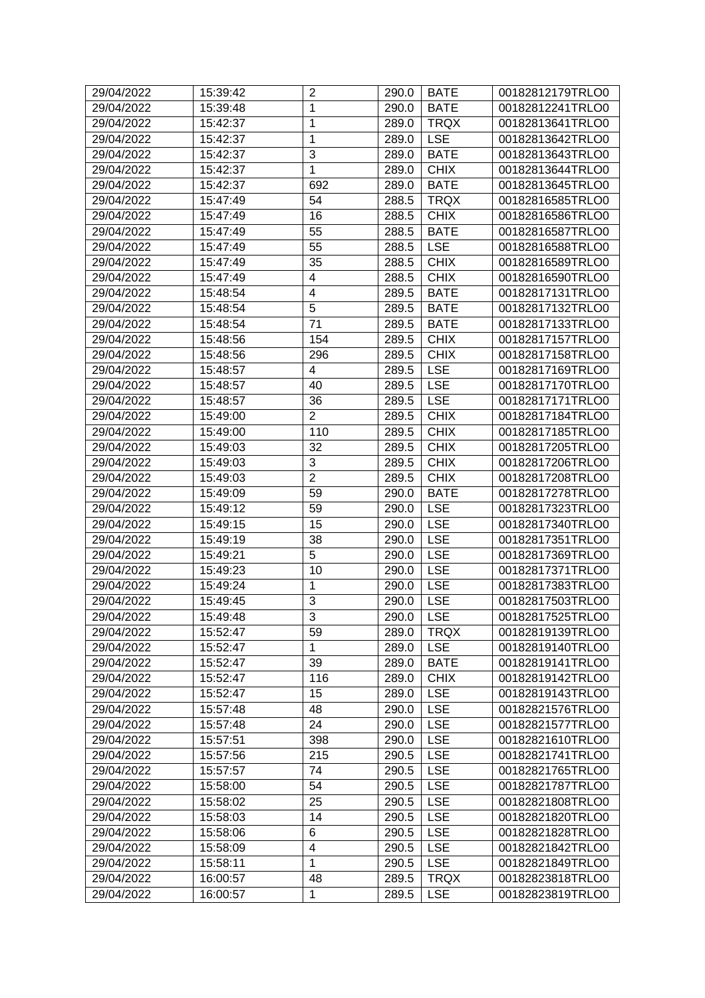| 29/04/2022 | 15:39:42             | $\overline{2}$ | 290.0          | <b>BATE</b> | 00182812179TRLO0 |
|------------|----------------------|----------------|----------------|-------------|------------------|
| 29/04/2022 | 15:39:48             | 1              | 290.0          | <b>BATE</b> | 00182812241TRLO0 |
| 29/04/2022 | 15:42:37             | $\mathbf{1}$   | 289.0          | <b>TRQX</b> | 00182813641TRLO0 |
| 29/04/2022 | 15:42:37             | 1              | 289.0          | <b>LSE</b>  | 00182813642TRLO0 |
| 29/04/2022 | 15:42:37             | 3              | 289.0          | <b>BATE</b> | 00182813643TRLO0 |
| 29/04/2022 | 15:42:37             | $\mathbf{1}$   | 289.0          | <b>CHIX</b> | 00182813644TRLO0 |
| 29/04/2022 | 15:42:37             | 692            | 289.0          | <b>BATE</b> | 00182813645TRLO0 |
| 29/04/2022 | 15:47:49             | 54             | 288.5          | <b>TRQX</b> | 00182816585TRLO0 |
| 29/04/2022 | 15:47:49             | 16             | 288.5          | <b>CHIX</b> | 00182816586TRLO0 |
| 29/04/2022 | 15:47:49             | 55             | 288.5          | <b>BATE</b> | 00182816587TRLO0 |
| 29/04/2022 | 15:47:49             | 55             | 288.5          | <b>LSE</b>  | 00182816588TRLO0 |
| 29/04/2022 | 15:47:49             | 35             | 288.5          | <b>CHIX</b> | 00182816589TRLO0 |
| 29/04/2022 | 15:47:49             | 4              | 288.5          | <b>CHIX</b> | 00182816590TRLO0 |
| 29/04/2022 | 15:48:54             | 4              | 289.5          | <b>BATE</b> | 00182817131TRLO0 |
| 29/04/2022 | 15:48:54             | 5              | 289.5          | <b>BATE</b> | 00182817132TRLO0 |
| 29/04/2022 | 15:48:54             | 71             | 289.5          | <b>BATE</b> | 00182817133TRLO0 |
| 29/04/2022 | 15:48:56             | 154            | 289.5          | <b>CHIX</b> | 00182817157TRLO0 |
| 29/04/2022 | 15:48:56             | 296            | 289.5          | <b>CHIX</b> | 00182817158TRLO0 |
| 29/04/2022 | 15:48:57             | 4              | 289.5          | <b>LSE</b>  | 00182817169TRLO0 |
| 29/04/2022 | 15:48:57             | 40             | 289.5          | <b>LSE</b>  | 00182817170TRLO0 |
| 29/04/2022 | 15:48:57             | 36             | 289.5          | <b>LSE</b>  | 00182817171TRLO0 |
| 29/04/2022 | 15:49:00             | $\overline{2}$ | 289.5          | <b>CHIX</b> | 00182817184TRLO0 |
| 29/04/2022 | 15:49:00             | 110            | 289.5          | <b>CHIX</b> | 00182817185TRLO0 |
| 29/04/2022 | 15:49:03             | 32             | 289.5          | <b>CHIX</b> | 00182817205TRLO0 |
| 29/04/2022 | 15:49:03             | 3              | 289.5          | <b>CHIX</b> | 00182817206TRLO0 |
| 29/04/2022 | 15:49:03             | $\overline{2}$ | 289.5          | <b>CHIX</b> | 00182817208TRLO0 |
| 29/04/2022 |                      | 59             |                | <b>BATE</b> | 00182817278TRLO0 |
| 29/04/2022 | 15:49:09<br>15:49:12 | 59             | 290.0<br>290.0 | <b>LSE</b>  | 00182817323TRLO0 |
| 29/04/2022 | 15:49:15             | 15             |                | <b>LSE</b>  | 00182817340TRLO0 |
| 29/04/2022 | 15:49:19             | 38             | 290.0<br>290.0 | <b>LSE</b>  | 00182817351TRLO0 |
| 29/04/2022 |                      | 5              |                | <b>LSE</b>  | 00182817369TRLO0 |
| 29/04/2022 | 15:49:21<br>15:49:23 | 10             | 290.0<br>290.0 | <b>LSE</b>  | 00182817371TRLO0 |
|            |                      |                |                |             | 00182817383TRLO0 |
| 29/04/2022 | 15:49:24             | 1              | 290.0          | <b>LSE</b>  |                  |
| 29/04/2022 | 15:49:45             | 3              | 290.0          | <b>LSE</b>  | 00182817503TRLO0 |
| 29/04/2022 | 15:49:48             | $\overline{3}$ | 290.0 LSE      |             | 00182817525TRLO0 |
| 29/04/2022 | 15:52:47             | 59             | 289.0          | <b>TRQX</b> | 00182819139TRLO0 |
| 29/04/2022 | 15:52:47             | 1              | 289.0          | <b>LSE</b>  | 00182819140TRLO0 |
| 29/04/2022 | 15:52:47             | 39             | 289.0          | <b>BATE</b> | 00182819141TRLO0 |
| 29/04/2022 | 15:52:47             | 116            | 289.0          | <b>CHIX</b> | 00182819142TRLO0 |
| 29/04/2022 | 15:52:47             | 15             | 289.0          | <b>LSE</b>  | 00182819143TRLO0 |
| 29/04/2022 | 15:57:48             | 48             | 290.0          | <b>LSE</b>  | 00182821576TRLO0 |
| 29/04/2022 | 15:57:48             | 24             | 290.0          | <b>LSE</b>  | 00182821577TRLO0 |
| 29/04/2022 | 15:57:51             | 398            | 290.0          | <b>LSE</b>  | 00182821610TRLO0 |
| 29/04/2022 | 15:57:56             | 215            | 290.5          | <b>LSE</b>  | 00182821741TRLO0 |
| 29/04/2022 | 15:57:57             | 74             | 290.5          | <b>LSE</b>  | 00182821765TRLO0 |
| 29/04/2022 | 15:58:00             | 54             | 290.5          | <b>LSE</b>  | 00182821787TRLO0 |
| 29/04/2022 | 15:58:02             | 25             | 290.5          | <b>LSE</b>  | 00182821808TRLO0 |
| 29/04/2022 | 15:58:03             | 14             | 290.5          | <b>LSE</b>  | 00182821820TRLO0 |
| 29/04/2022 | 15:58:06             | 6              | 290.5          | <b>LSE</b>  | 00182821828TRLO0 |
| 29/04/2022 | 15:58:09             | 4              | 290.5          | <b>LSE</b>  | 00182821842TRLO0 |
| 29/04/2022 | 15:58:11             | $\mathbf{1}$   | 290.5          | <b>LSE</b>  | 00182821849TRLO0 |
| 29/04/2022 | 16:00:57             | 48             | 289.5          | <b>TRQX</b> | 00182823818TRLO0 |
| 29/04/2022 | 16:00:57             | 1              | 289.5          | <b>LSE</b>  | 00182823819TRLO0 |